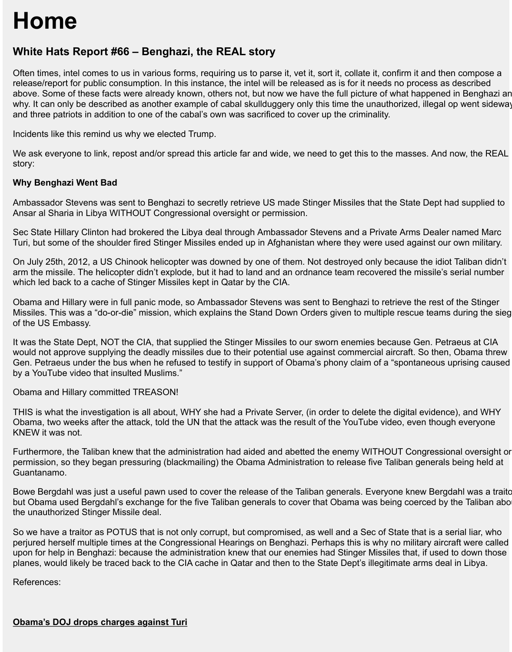and three patriots in addition to one of the cabal's own was sacrificed to cover up the criminality.

Incidents like this remind us why we elected Trump.

We ask everyone to link, repost and/or spread this article far and wide, we need to get this to the masse story:

why. It can only be described as another example of cabal skullduggery only this time the unauthorized, i.e.  $\blacksquare$ 

### **Why Benghazi Went Bad**

Ambassador Stevens was sent to Benghazi to secretly retrieve US made Stinger Missiles that the State Ansar al Sharia in Libya WITHOUT Congressional oversight or permission.

Sec State Hillary Clinton had brokered the Libya deal through Ambassador Stevens and a Private Arms Turi, but some of the shoulder fired Stinger Missiles ended up in Afghanistan where they were used against our

On July 25th, 2012, a US Chinook helicopter was downed by one of them. Not destroyed only because arm the missile. The helicopter didn't explode, but it had to land and an ordnance team recovered the m which led back to a cache of Stinger Missiles kept in Qatar by the CIA.

Obama and Hillary were in full panic mode, so Ambassador Stevens was sent to Benghazi to retrieve the Missiles. This was a "do-or-die" mission, which explains the Stand Down Orders given to multiple rescue of the US Embassy.

It was the State Dept, NOT the CIA, that supplied the Stinger Missiles to our sworn enemies because G would not approve supplying the deadly missiles due to their potential use against commercial aircraft. So Gen. Petraeus under the bus when he refused to testify in support of Obama's phony claim of a "sponta by a YouTube video that insulted Muslims."

Obama and Hillary committed TREASON!

THIS is what the investigation is all about, WHY she had a Private Server, (in order to delete the digital Obama, two weeks after the attack, told the UN that the attack was the result of the YouTube video, every KNEW it was not.

Furthermore, the Taliban knew that the administration had aided and abetted the enemy WITHOUT Cor permission, so they began pressuring (blackmailing) the Obama Administration to release five Taliban g Guantanamo.

Bowe Bergdahl was just a useful pawn used to cover the release of the Taliban generals. Everyone kne but Obama used Bergdahl's exchange for the five Taliban generals to cover that Obama was being coe the unauthorized Stinger Missile deal.

So we have a traitor as POTUS that is not only corrupt, but compromised, as well and a Sec of State th perjured herself multiple times at the Congressional Hearings on Benghazi. Perhaps this is why no milit upon for help in Benghazi: because the administration knew that our enemies had Stinger Missiles that, planes, would likely be traced back to the CIA cache in Qatar and then to the State Dept's illegitimate are

References: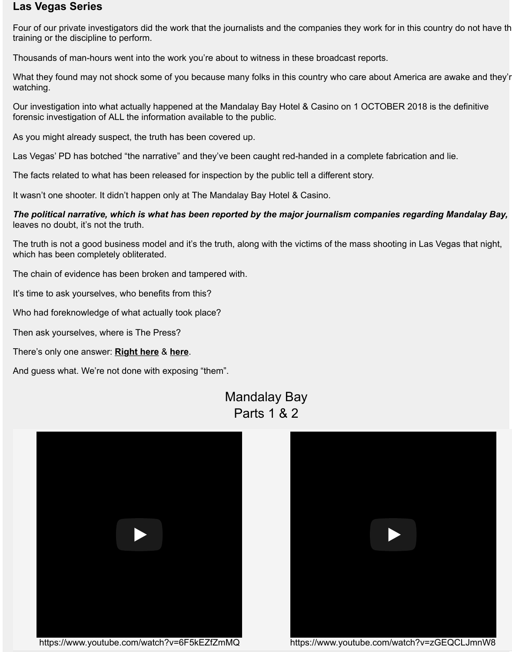Our investigation into what actually happened at the Mandalay Bay Hotel & Casino on 1 OCTOBER 2018 is the definitive forensic investigation of ALL the information available to the public.

As you might already suspect, the truth has been covered up.

Las Vegas' PD has botched "the narrative" and they've been caught red-handed in a complete fabrication

The facts related to what has been released for inspection by the public tell a different story.

It wasn't one shooter. It didn't happen only at The Mandalay Bay Hotel & Casino.

*The political narrative, which is what has been reported by the major journalism companies rega* leaves no doubt, it's not the truth.

The truth is not a good business model and it's the truth, along with the victims of the mass shooting in I which has been completely obliterated.

The chain of evidence has been broken and tampered with.

It's time to ask yourselves, who benefits from this?

Who had foreknowledge of what actually took place?

Then ask yourselves, where is The Press?

There's only one answer: **Right here** & **here**.

And guess what. We're not done with exposing "them".



Mandalay Bay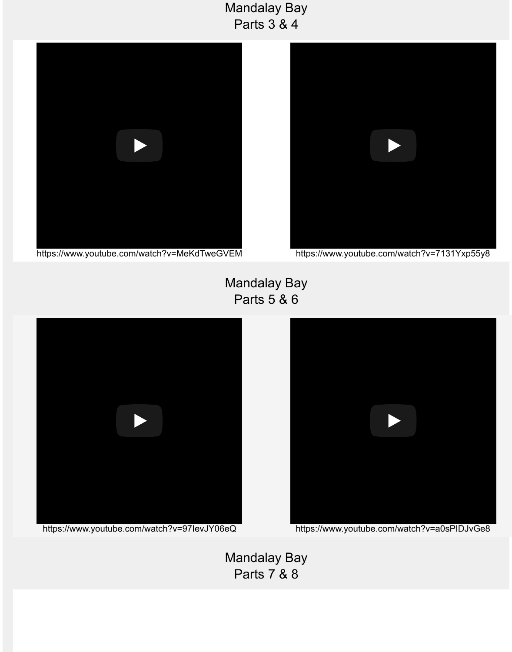

https://www.youtube.com/watch?v=MeKdTweGVEM



Mandalay Bay Parts 5 & 6



Mandalay Bay Parts 7 & 8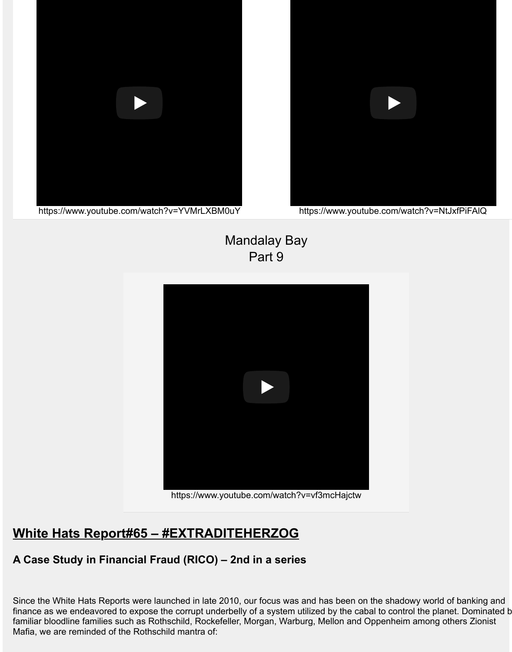

https://www.youtube.com/watch?v=YVMrLXBM0uY



https://www.youtube.com/watc

# Mandalay Bay Part 9



https://www.youtube.com/watch?v=vf3mcHajctw

# **White Hats Report#65 – #EXTRADITEHERZOG**

## **A Case Study in Financial Fraud (RICO) – 2nd in a series**

Since the White Hats Reports were launched in late 2010, our focus was and has been on the shadowy finance as we endeavored to expose the corrupt underbelly of a system utilized by the cabal to control t familiar bloodline families such as Rothschild, Rockefeller, Morgan, Warburg, Mellon and Oppenheim ar [Mafia, we are reminded of the Rothschild mantra of:](http://whitehatsreport.com/2018/05/11/white-hats-report-64-extraditeherzog-part-1/1400/)